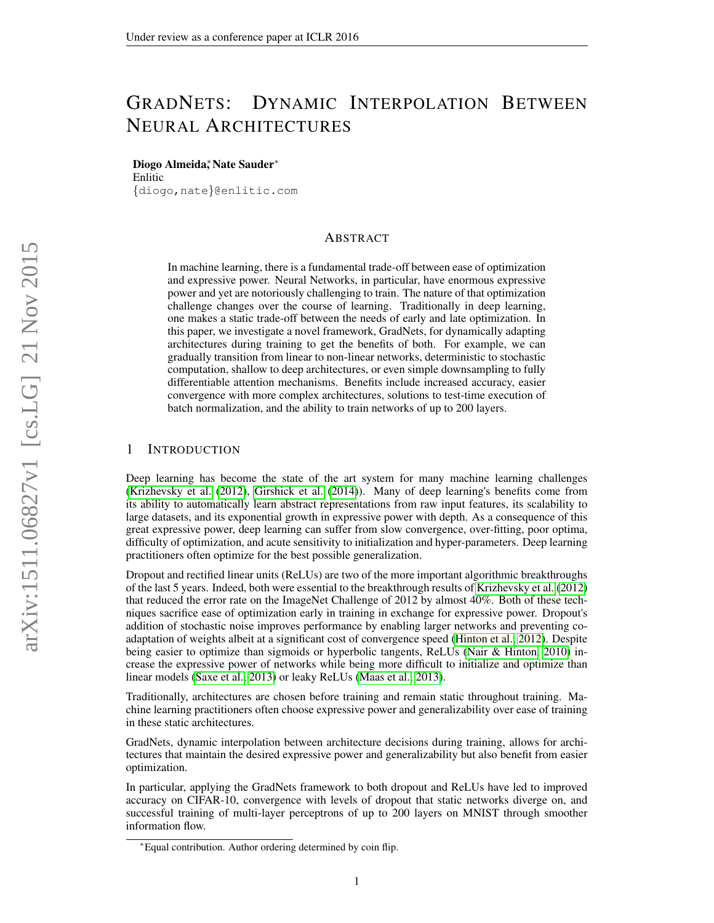# GRADNETS: DYNAMIC INTERPOLATION BETWEEN NEURAL ARCHITECTURES

Diogo Almeida,<sup>\*</sup> Nate Sauder<sup>\*</sup> Enlitic

{diogo,nate}@enlitic.com

# ABSTRACT

In machine learning, there is a fundamental trade-off between ease of optimization and expressive power. Neural Networks, in particular, have enormous expressive power and yet are notoriously challenging to train. The nature of that optimization challenge changes over the course of learning. Traditionally in deep learning, one makes a static trade-off between the needs of early and late optimization. In this paper, we investigate a novel framework, GradNets, for dynamically adapting architectures during training to get the benefits of both. For example, we can gradually transition from linear to non-linear networks, deterministic to stochastic computation, shallow to deep architectures, or even simple downsampling to fully differentiable attention mechanisms. Benefits include increased accuracy, easier convergence with more complex architectures, solutions to test-time execution of batch normalization, and the ability to train networks of up to 200 layers.

# 1 INTRODUCTION

Deep learning has become the state of the art system for many machine learning challenges [\(Krizhevsky et al.](#page-7-0) [\(2012\)](#page-7-0), [Girshick et al.](#page-7-1) [\(2014\)](#page-7-1)). Many of deep learning's benefits come from its ability to automatically learn abstract representations from raw input features, its scalability to large datasets, and its exponential growth in expressive power with depth. As a consequence of this great expressive power, deep learning can suffer from slow convergence, over-fitting, poor optima, difficulty of optimization, and acute sensitivity to initialization and hyper-parameters. Deep learning practitioners often optimize for the best possible generalization.

Dropout and rectified linear units (ReLUs) are two of the more important algorithmic breakthroughs of the last 5 years. Indeed, both were essential to the breakthrough results of [Krizhevsky et al.](#page-7-0) [\(2012\)](#page-7-0) that reduced the error rate on the ImageNet Challenge of 2012 by almost 40%. Both of these techniques sacrifice ease of optimization early in training in exchange for expressive power. Dropout's addition of stochastic noise improves performance by enabling larger networks and preventing coadaptation of weights albeit at a significant cost of convergence speed [\(Hinton et al., 2012\)](#page-7-2). Despite being easier to optimize than sigmoids or hyperbolic tangents, ReLUs [\(Nair & Hinton, 2010\)](#page-7-3) increase the expressive power of networks while being more difficult to initialize and optimize than linear models [\(Saxe et al., 2013\)](#page-7-4) or leaky ReLUs [\(Maas et al., 2013\)](#page-7-5).

Traditionally, architectures are chosen before training and remain static throughout training. Machine learning practitioners often choose expressive power and generalizability over ease of training in these static architectures.

GradNets, dynamic interpolation between architecture decisions during training, allows for architectures that maintain the desired expressive power and generalizability but also benefit from easier optimization.

In particular, applying the GradNets framework to both dropout and ReLUs have led to improved accuracy on CIFAR-10, convergence with levels of dropout that static networks diverge on, and successful training of multi-layer perceptrons of up to 200 layers on MNIST through smoother information flow.

<sup>∗</sup>Equal contribution. Author ordering determined by coin flip.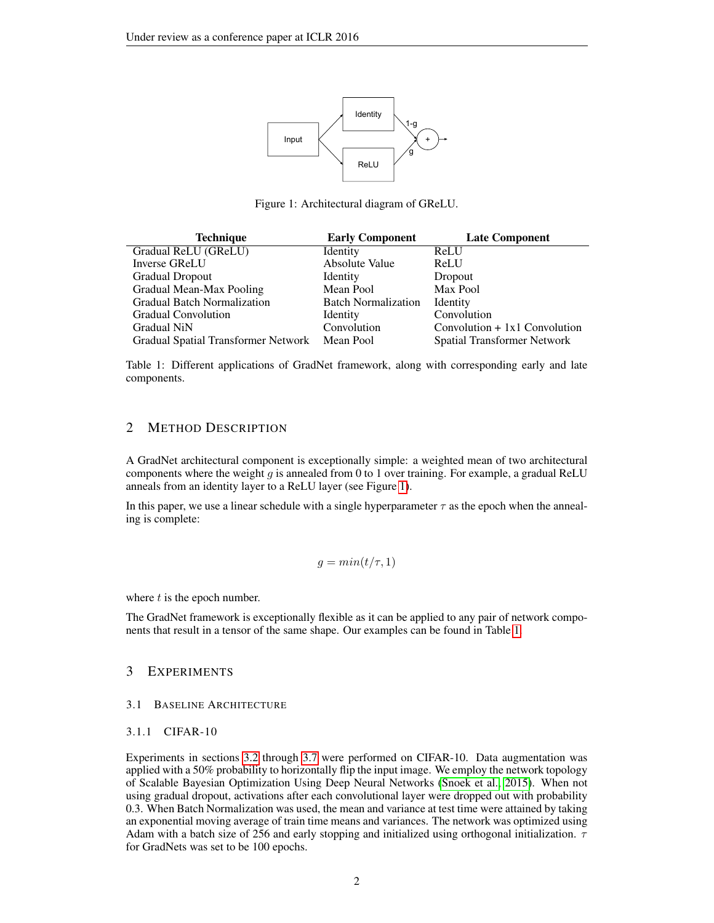

<span id="page-1-0"></span>Figure 1: Architectural diagram of GReLU.

| <b>Technique</b>                              | <b>Early Component</b>     | <b>Late Component</b>           |
|-----------------------------------------------|----------------------------|---------------------------------|
| Gradual ReLU (GReLU)                          | <b>Identity</b>            | ReLU                            |
| Inverse GReLU                                 | Absolute Value             | ReLU                            |
| <b>Gradual Dropout</b>                        | Identity                   | Dropout                         |
| Gradual Mean-Max Pooling                      | Mean Pool                  | Max Pool                        |
| <b>Gradual Batch Normalization</b>            | <b>Batch Normalization</b> | Identity                        |
| <b>Gradual Convolution</b>                    | Identity                   | Convolution                     |
| <b>Gradual NiN</b>                            | Convolution                | Convolution $+ 1x1$ Convolution |
| Gradual Spatial Transformer Network Mean Pool |                            | Spatial Transformer Network     |

<span id="page-1-1"></span>Table 1: Different applications of GradNet framework, along with corresponding early and late components.

# 2 METHOD DESCRIPTION

A GradNet architectural component is exceptionally simple: a weighted mean of two architectural components where the weight g is annealed from 0 to 1 over training. For example, a gradual ReLU anneals from an identity layer to a ReLU layer (see Figure [1\)](#page-1-0).

In this paper, we use a linear schedule with a single hyperparameter  $\tau$  as the epoch when the annealing is complete:

$$
g = min(t/\tau, 1)
$$

where  $t$  is the epoch number.

The GradNet framework is exceptionally flexible as it can be applied to any pair of network components that result in a tensor of the same shape. Our examples can be found in Table [1.](#page-1-1)

## 3 EXPERIMENTS

#### 3.1 BASELINE ARCHITECTURE

#### 3.1.1 CIFAR-10

Experiments in sections [3.2](#page-2-0) through [3.7](#page-4-0) were performed on CIFAR-10. Data augmentation was applied with a 50% probability to horizontally flip the input image. We employ the network topology of Scalable Bayesian Optimization Using Deep Neural Networks [\(Snoek et al., 2015\)](#page-8-0). When not using gradual dropout, activations after each convolutional layer were dropped out with probability 0.3. When Batch Normalization was used, the mean and variance at test time were attained by taking an exponential moving average of train time means and variances. The network was optimized using Adam with a batch size of 256 and early stopping and initialized using orthogonal initialization.  $\tau$ for GradNets was set to be 100 epochs.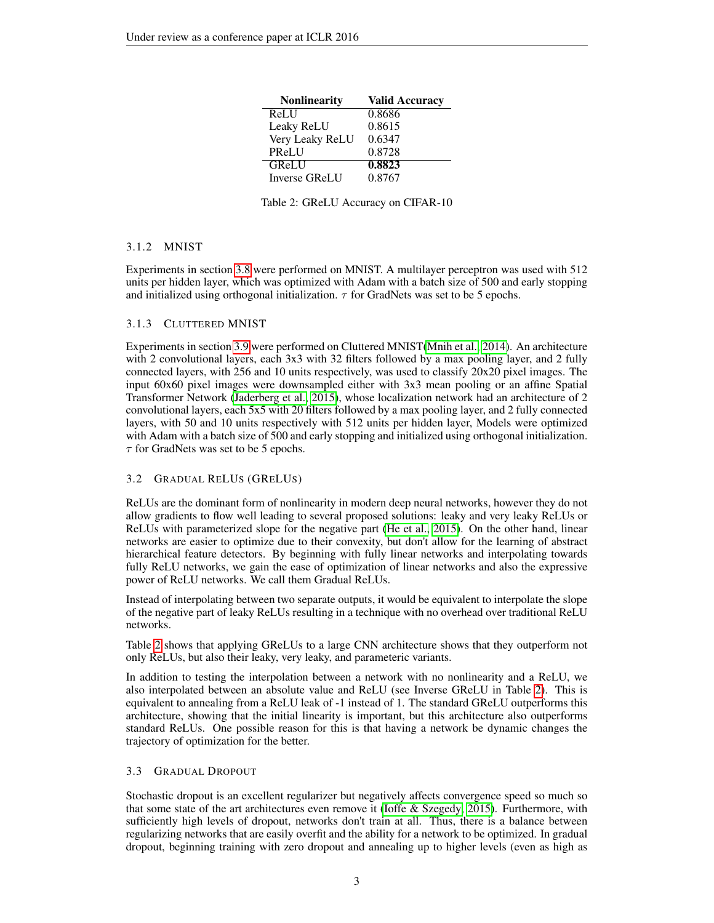| <b>Nonlinearity</b>  | <b>Valid Accuracy</b> |
|----------------------|-----------------------|
| ReLU                 | 0.8686                |
| Leaky ReLU           | 0.8615                |
| Very Leaky ReLU      | 0.6347                |
| PReLU                | 0.8728                |
| <b>GReLU</b>         | 0.8823                |
| <b>Inverse GReLU</b> | 0.8767                |

<span id="page-2-1"></span>Table 2: GReLU Accuracy on CIFAR-10

# 3.1.2 MNIST

Experiments in section [3.8](#page-4-1) were performed on MNIST. A multilayer perceptron was used with 512 units per hidden layer, which was optimized with Adam with a batch size of 500 and early stopping and initialized using orthogonal initialization.  $\tau$  for GradNets was set to be 5 epochs.

# 3.1.3 CLUTTERED MNIST

Experiments in section [3.9](#page-4-2) were performed on Cluttered MNIST[\(Mnih et al., 2014\)](#page-7-6). An architecture with 2 convolutional layers, each 3x3 with 32 filters followed by a max pooling layer, and 2 fully connected layers, with 256 and 10 units respectively, was used to classify 20x20 pixel images. The input 60x60 pixel images were downsampled either with 3x3 mean pooling or an affine Spatial Transformer Network [\(Jaderberg et al., 2015\)](#page-7-7), whose localization network had an architecture of 2 convolutional layers, each 5x5 with 20 filters followed by a max pooling layer, and 2 fully connected layers, with 50 and 10 units respectively with 512 units per hidden layer, Models were optimized with Adam with a batch size of 500 and early stopping and initialized using orthogonal initialization.  $\tau$  for GradNets was set to be 5 epochs.

## <span id="page-2-0"></span>3.2 GRADUAL RELUS (GRELUS)

ReLUs are the dominant form of nonlinearity in modern deep neural networks, however they do not allow gradients to flow well leading to several proposed solutions: leaky and very leaky ReLUs or ReLUs with parameterized slope for the negative part [\(He et al., 2015\)](#page-7-8). On the other hand, linear networks are easier to optimize due to their convexity, but don't allow for the learning of abstract hierarchical feature detectors. By beginning with fully linear networks and interpolating towards fully ReLU networks, we gain the ease of optimization of linear networks and also the expressive power of ReLU networks. We call them Gradual ReLUs.

Instead of interpolating between two separate outputs, it would be equivalent to interpolate the slope of the negative part of leaky ReLUs resulting in a technique with no overhead over traditional ReLU networks.

Table [2](#page-2-1) shows that applying GReLUs to a large CNN architecture shows that they outperform not only ReLUs, but also their leaky, very leaky, and parameteric variants.

In addition to testing the interpolation between a network with no nonlinearity and a ReLU, we also interpolated between an absolute value and ReLU (see Inverse GReLU in Table [2\)](#page-2-1). This is equivalent to annealing from a ReLU leak of -1 instead of 1. The standard GReLU outperforms this architecture, showing that the initial linearity is important, but this architecture also outperforms standard ReLUs. One possible reason for this is that having a network be dynamic changes the trajectory of optimization for the better.

## 3.3 GRADUAL DROPOUT

Stochastic dropout is an excellent regularizer but negatively affects convergence speed so much so that some state of the art architectures even remove it [\(Ioffe & Szegedy, 2015\)](#page-7-9). Furthermore, with sufficiently high levels of dropout, networks don't train at all. Thus, there is a balance between regularizing networks that are easily overfit and the ability for a network to be optimized. In gradual dropout, beginning training with zero dropout and annealing up to higher levels (even as high as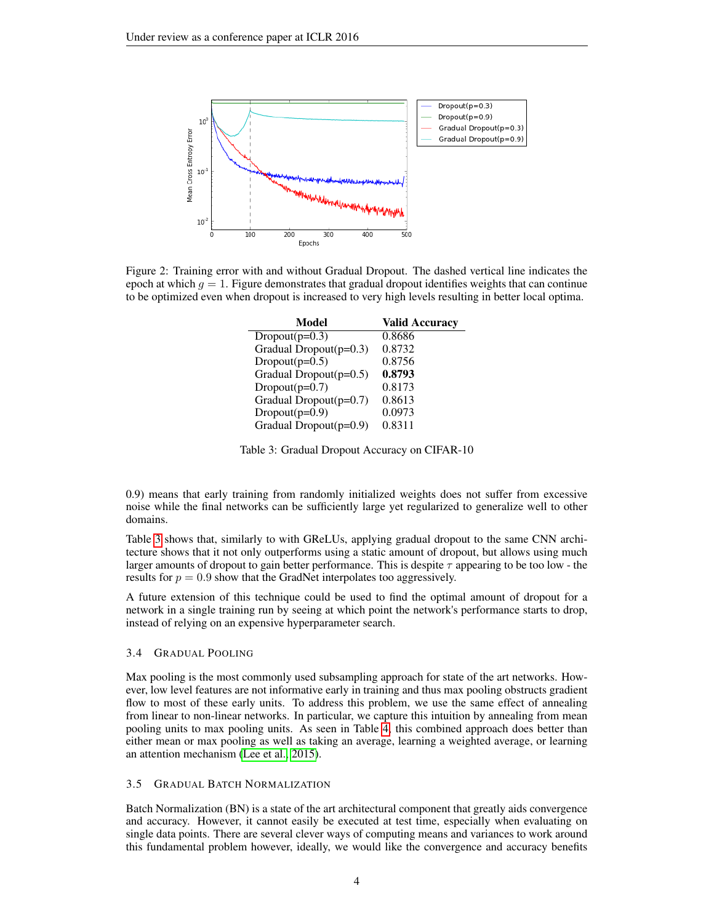

<span id="page-3-1"></span>Figure 2: Training error with and without Gradual Dropout. The dashed vertical line indicates the epoch at which  $g = 1$ . Figure demonstrates that gradual dropout identifies weights that can continue to be optimized even when dropout is increased to very high levels resulting in better local optima.

| Model                     | <b>Valid Accuracy</b> |
|---------------------------|-----------------------|
| Dropout $(p=0.3)$         | 0.8686                |
| Gradual Dropout $(p=0.3)$ | 0.8732                |
| Dropout( $p=0.5$ )        | 0.8756                |
| Gradual Dropout $(p=0.5)$ | 0.8793                |
| $Dropout(p=0.7)$          | 0.8173                |
| Gradual Dropout $(p=0.7)$ | 0.8613                |
| $Dropout(p=0.9)$          | 0.0973                |
| Gradual Dropout(p=0.9)    | 0.8311                |

<span id="page-3-0"></span>Table 3: Gradual Dropout Accuracy on CIFAR-10

0.9) means that early training from randomly initialized weights does not suffer from excessive noise while the final networks can be sufficiently large yet regularized to generalize well to other domains.

Table [3](#page-3-0) shows that, similarly to with GReLUs, applying gradual dropout to the same CNN architecture shows that it not only outperforms using a static amount of dropout, but allows using much larger amounts of dropout to gain better performance. This is despite  $\tau$  appearing to be too low - the results for  $p = 0.9$  show that the GradNet interpolates too aggressively.

A future extension of this technique could be used to find the optimal amount of dropout for a network in a single training run by seeing at which point the network's performance starts to drop, instead of relying on an expensive hyperparameter search.

#### 3.4 GRADUAL POOLING

Max pooling is the most commonly used subsampling approach for state of the art networks. However, low level features are not informative early in training and thus max pooling obstructs gradient flow to most of these early units. To address this problem, we use the same effect of annealing from linear to non-linear networks. In particular, we capture this intuition by annealing from mean pooling units to max pooling units. As seen in Table [4,](#page-4-3) this combined approach does better than either mean or max pooling as well as taking an average, learning a weighted average, or learning an attention mechanism [\(Lee et al., 2015\)](#page-7-10).

#### 3.5 GRADUAL BATCH NORMALIZATION

Batch Normalization (BN) is a state of the art architectural component that greatly aids convergence and accuracy. However, it cannot easily be executed at test time, especially when evaluating on single data points. There are several clever ways of computing means and variances to work around this fundamental problem however, ideally, we would like the convergence and accuracy benefits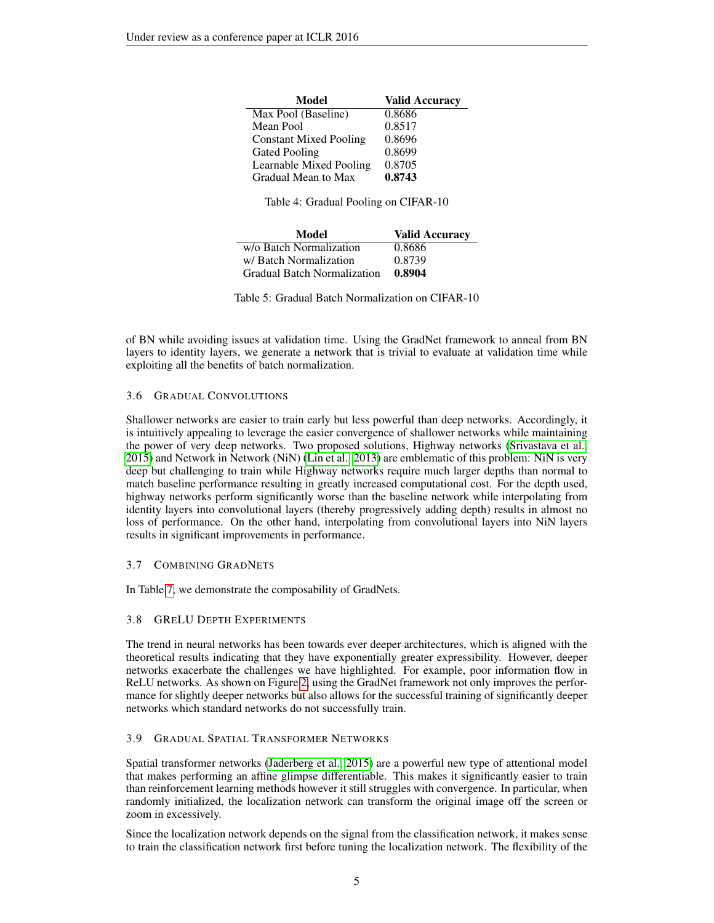| Model                         | <b>Valid Accuracy</b> |
|-------------------------------|-----------------------|
| Max Pool (Baseline)           | 0.8686                |
| Mean Pool                     | 0.8517                |
| <b>Constant Mixed Pooling</b> | 0.8696                |
| <b>Gated Pooling</b>          | 0.8699                |
| Learnable Mixed Pooling       | 0.8705                |
| Gradual Mean to Max           | 0.8743                |

<span id="page-4-3"></span>Table 4: Gradual Pooling on CIFAR-10

| Model                              | <b>Valid Accuracy</b> |
|------------------------------------|-----------------------|
| w/o Batch Normalization            | 0.8686                |
| w/Batch Normalization              | 0.8739                |
| <b>Gradual Batch Normalization</b> | 0.8904                |

Table 5: Gradual Batch Normalization on CIFAR-10

of BN while avoiding issues at validation time. Using the GradNet framework to anneal from BN layers to identity layers, we generate a network that is trivial to evaluate at validation time while exploiting all the benefits of batch normalization.

## 3.6 GRADUAL CONVOLUTIONS

Shallower networks are easier to train early but less powerful than deep networks. Accordingly, it is intuitively appealing to leverage the easier convergence of shallower networks while maintaining the power of very deep networks. Two proposed solutions, Highway networks [\(Srivastava et al.,](#page-8-1) [2015\)](#page-8-1) and Network in Network (NiN) [\(Lin et al., 2013\)](#page-7-11) are emblematic of this problem: NiN is very deep but challenging to train while Highway networks require much larger depths than normal to match baseline performance resulting in greatly increased computational cost. For the depth used, highway networks perform significantly worse than the baseline network while interpolating from identity layers into convolutional layers (thereby progressively adding depth) results in almost no loss of performance. On the other hand, interpolating from convolutional layers into NiN layers results in significant improvements in performance.

## <span id="page-4-0"></span>3.7 COMBINING GRADNETS

In Table [7,](#page-5-0) we demonstrate the composability of GradNets.

## <span id="page-4-1"></span>3.8 GRELU DEPTH EXPERIMENTS

The trend in neural networks has been towards ever deeper architectures, which is aligned with the theoretical results indicating that they have exponentially greater expressibility. However, deeper networks exacerbate the challenges we have highlighted. For example, poor information flow in ReLU networks. As shown on Figure [2,](#page-3-1) using the GradNet framework not only improves the performance for slightly deeper networks but also allows for the successful training of significantly deeper networks which standard networks do not successfully train.

## <span id="page-4-2"></span>3.9 GRADUAL SPATIAL TRANSFORMER NETWORKS

Spatial transformer networks [\(Jaderberg et al., 2015\)](#page-7-7) are a powerful new type of attentional model that makes performing an affine glimpse differentiable. This makes it significantly easier to train than reinforcement learning methods however it still struggles with convergence. In particular, when randomly initialized, the localization network can transform the original image off the screen or zoom in excessively.

Since the localization network depends on the signal from the classification network, it makes sense to train the classification network first before tuning the localization network. The flexibility of the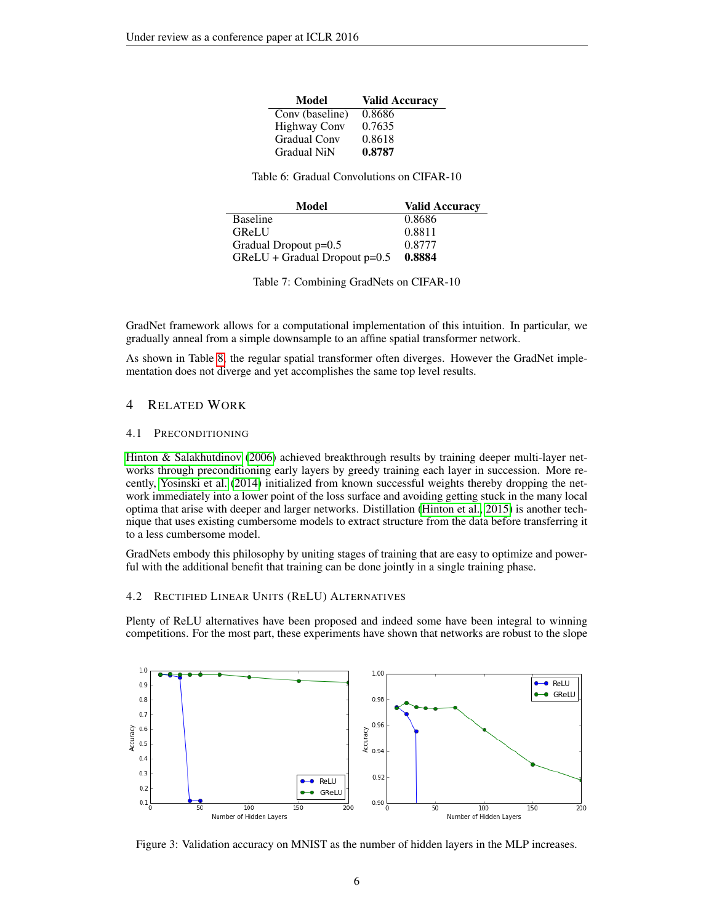| Model               | <b>Valid Accuracy</b> |
|---------------------|-----------------------|
| Conv (baseline)     | 0.8686                |
| <b>Highway Conv</b> | 0.7635                |
| <b>Gradual Conv</b> | 0.8618                |
| <b>Gradual NiN</b>  | 0.8787                |

Table 6: Gradual Convolutions on CIFAR-10

| Model                           | <b>Valid Accuracy</b> |
|---------------------------------|-----------------------|
| Baseline                        | 0.8686                |
| <b>GReLU</b>                    | 0.8811                |
| Gradual Dropout $p=0.5$         | 0.8777                |
| $GReLU + Gradual Dropout p=0.5$ | 0.8884                |

<span id="page-5-0"></span>Table 7: Combining GradNets on CIFAR-10

GradNet framework allows for a computational implementation of this intuition. In particular, we gradually anneal from a simple downsample to an affine spatial transformer network.

As shown in Table [8,](#page-6-0) the regular spatial transformer often diverges. However the GradNet implementation does not diverge and yet accomplishes the same top level results.

# 4 RELATED WORK

#### 4.1 PRECONDITIONING

[Hinton & Salakhutdinov](#page-7-12) [\(2006\)](#page-7-12) achieved breakthrough results by training deeper multi-layer networks through preconditioning early layers by greedy training each layer in succession. More recently, [Yosinski et al.](#page-8-2) [\(2014\)](#page-8-2) initialized from known successful weights thereby dropping the network immediately into a lower point of the loss surface and avoiding getting stuck in the many local optima that arise with deeper and larger networks. Distillation [\(Hinton et al., 2015\)](#page-7-13) is another technique that uses existing cumbersome models to extract structure from the data before transferring it to a less cumbersome model.

GradNets embody this philosophy by uniting stages of training that are easy to optimize and powerful with the additional benefit that training can be done jointly in a single training phase.

#### 4.2 RECTIFIED LINEAR UNITS (RELU) ALTERNATIVES

Plenty of ReLU alternatives have been proposed and indeed some have been integral to winning competitions. For the most part, these experiments have shown that networks are robust to the slope



Figure 3: Validation accuracy on MNIST as the number of hidden layers in the MLP increases.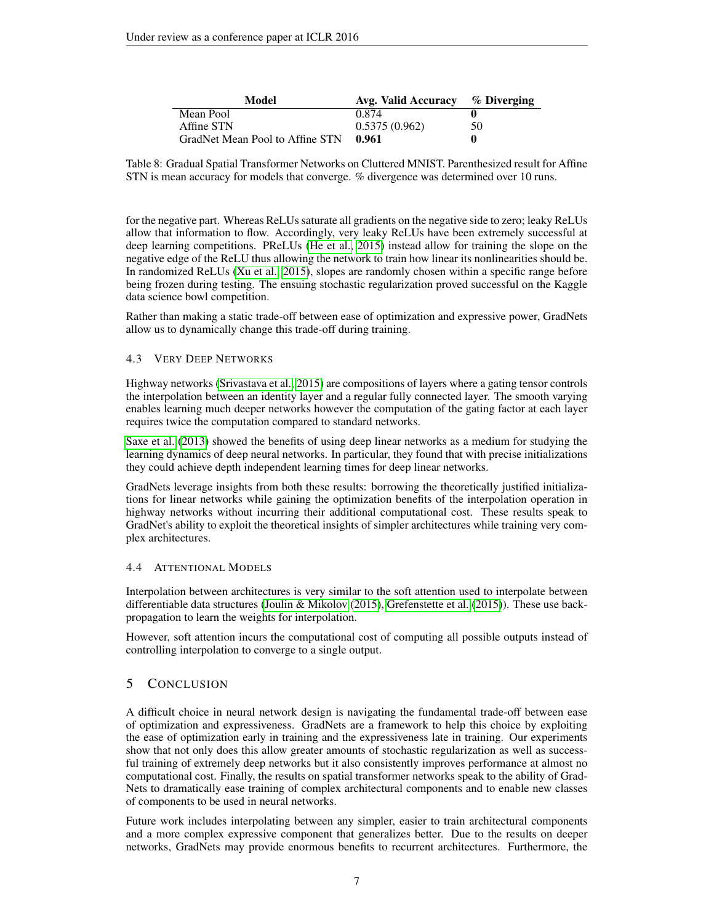| Model                           | Avg. Valid Accuracy | $\%$ Diverging |
|---------------------------------|---------------------|----------------|
| Mean Pool                       | 0.874               |                |
| Affine STN                      | 0.5375(0.962)       | 50             |
| GradNet Mean Pool to Affine STN | 0.961               |                |

<span id="page-6-0"></span>Table 8: Gradual Spatial Transformer Networks on Cluttered MNIST. Parenthesized result for Affine STN is mean accuracy for models that converge. % divergence was determined over 10 runs.

for the negative part. Whereas ReLUs saturate all gradients on the negative side to zero; leaky ReLUs allow that information to flow. Accordingly, very leaky ReLUs have been extremely successful at deep learning competitions. PReLUs [\(He et al., 2015\)](#page-7-8) instead allow for training the slope on the negative edge of the ReLU thus allowing the network to train how linear its nonlinearities should be. In randomized ReLUs [\(Xu et al., 2015\)](#page-8-3), slopes are randomly chosen within a specific range before being frozen during testing. The ensuing stochastic regularization proved successful on the Kaggle data science bowl competition.

Rather than making a static trade-off between ease of optimization and expressive power, GradNets allow us to dynamically change this trade-off during training.

## 4.3 VERY DEEP NETWORKS

Highway networks [\(Srivastava et al., 2015\)](#page-8-1) are compositions of layers where a gating tensor controls the interpolation between an identity layer and a regular fully connected layer. The smooth varying enables learning much deeper networks however the computation of the gating factor at each layer requires twice the computation compared to standard networks.

[Saxe et al.](#page-7-4) [\(2013\)](#page-7-4) showed the benefits of using deep linear networks as a medium for studying the learning dynamics of deep neural networks. In particular, they found that with precise initializations they could achieve depth independent learning times for deep linear networks.

GradNets leverage insights from both these results: borrowing the theoretically justified initializations for linear networks while gaining the optimization benefits of the interpolation operation in highway networks without incurring their additional computational cost. These results speak to GradNet's ability to exploit the theoretical insights of simpler architectures while training very complex architectures.

## 4.4 ATTENTIONAL MODELS

Interpolation between architectures is very similar to the soft attention used to interpolate between differentiable data structures [\(Joulin & Mikolov](#page-7-14) [\(2015\)](#page-7-14), [Grefenstette et al.](#page-7-15) [\(2015\)](#page-7-15)). These use backpropagation to learn the weights for interpolation.

However, soft attention incurs the computational cost of computing all possible outputs instead of controlling interpolation to converge to a single output.

# 5 CONCLUSION

A difficult choice in neural network design is navigating the fundamental trade-off between ease of optimization and expressiveness. GradNets are a framework to help this choice by exploiting the ease of optimization early in training and the expressiveness late in training. Our experiments show that not only does this allow greater amounts of stochastic regularization as well as successful training of extremely deep networks but it also consistently improves performance at almost no computational cost. Finally, the results on spatial transformer networks speak to the ability of Grad-Nets to dramatically ease training of complex architectural components and to enable new classes of components to be used in neural networks.

Future work includes interpolating between any simpler, easier to train architectural components and a more complex expressive component that generalizes better. Due to the results on deeper networks, GradNets may provide enormous benefits to recurrent architectures. Furthermore, the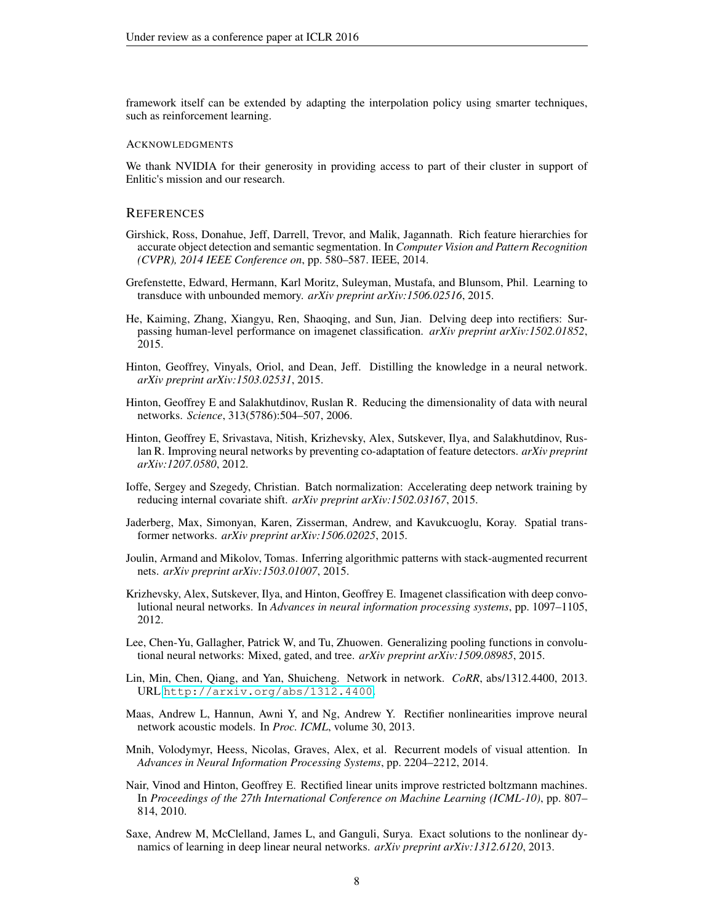framework itself can be extended by adapting the interpolation policy using smarter techniques, such as reinforcement learning.

#### ACKNOWLEDGMENTS

We thank NVIDIA for their generosity in providing access to part of their cluster in support of Enlitic's mission and our research.

#### **REFERENCES**

- <span id="page-7-1"></span>Girshick, Ross, Donahue, Jeff, Darrell, Trevor, and Malik, Jagannath. Rich feature hierarchies for accurate object detection and semantic segmentation. In *Computer Vision and Pattern Recognition (CVPR), 2014 IEEE Conference on*, pp. 580–587. IEEE, 2014.
- <span id="page-7-15"></span>Grefenstette, Edward, Hermann, Karl Moritz, Suleyman, Mustafa, and Blunsom, Phil. Learning to transduce with unbounded memory. *arXiv preprint arXiv:1506.02516*, 2015.
- <span id="page-7-8"></span>He, Kaiming, Zhang, Xiangyu, Ren, Shaoqing, and Sun, Jian. Delving deep into rectifiers: Surpassing human-level performance on imagenet classification. *arXiv preprint arXiv:1502.01852*, 2015.
- <span id="page-7-13"></span>Hinton, Geoffrey, Vinyals, Oriol, and Dean, Jeff. Distilling the knowledge in a neural network. *arXiv preprint arXiv:1503.02531*, 2015.
- <span id="page-7-12"></span>Hinton, Geoffrey E and Salakhutdinov, Ruslan R. Reducing the dimensionality of data with neural networks. *Science*, 313(5786):504–507, 2006.
- <span id="page-7-2"></span>Hinton, Geoffrey E, Srivastava, Nitish, Krizhevsky, Alex, Sutskever, Ilya, and Salakhutdinov, Ruslan R. Improving neural networks by preventing co-adaptation of feature detectors. *arXiv preprint arXiv:1207.0580*, 2012.
- <span id="page-7-9"></span>Ioffe, Sergey and Szegedy, Christian. Batch normalization: Accelerating deep network training by reducing internal covariate shift. *arXiv preprint arXiv:1502.03167*, 2015.
- <span id="page-7-7"></span>Jaderberg, Max, Simonyan, Karen, Zisserman, Andrew, and Kavukcuoglu, Koray. Spatial transformer networks. *arXiv preprint arXiv:1506.02025*, 2015.
- <span id="page-7-14"></span>Joulin, Armand and Mikolov, Tomas. Inferring algorithmic patterns with stack-augmented recurrent nets. *arXiv preprint arXiv:1503.01007*, 2015.
- <span id="page-7-0"></span>Krizhevsky, Alex, Sutskever, Ilya, and Hinton, Geoffrey E. Imagenet classification with deep convolutional neural networks. In *Advances in neural information processing systems*, pp. 1097–1105, 2012.
- <span id="page-7-10"></span>Lee, Chen-Yu, Gallagher, Patrick W, and Tu, Zhuowen. Generalizing pooling functions in convolutional neural networks: Mixed, gated, and tree. *arXiv preprint arXiv:1509.08985*, 2015.
- <span id="page-7-11"></span>Lin, Min, Chen, Qiang, and Yan, Shuicheng. Network in network. *CoRR*, abs/1312.4400, 2013. URL <http://arxiv.org/abs/1312.4400>.
- <span id="page-7-5"></span>Maas, Andrew L, Hannun, Awni Y, and Ng, Andrew Y. Rectifier nonlinearities improve neural network acoustic models. In *Proc. ICML*, volume 30, 2013.
- <span id="page-7-6"></span>Mnih, Volodymyr, Heess, Nicolas, Graves, Alex, et al. Recurrent models of visual attention. In *Advances in Neural Information Processing Systems*, pp. 2204–2212, 2014.
- <span id="page-7-3"></span>Nair, Vinod and Hinton, Geoffrey E. Rectified linear units improve restricted boltzmann machines. In *Proceedings of the 27th International Conference on Machine Learning (ICML-10)*, pp. 807– 814, 2010.
- <span id="page-7-4"></span>Saxe, Andrew M, McClelland, James L, and Ganguli, Surya. Exact solutions to the nonlinear dynamics of learning in deep linear neural networks. *arXiv preprint arXiv:1312.6120*, 2013.